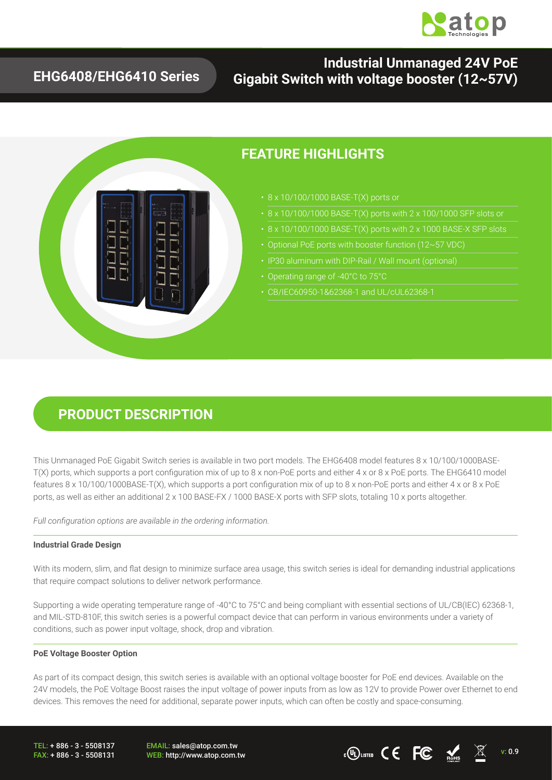

### **EHG6408/EHG6410 Series**

### **Industrial Unmanaged 24V PoE Gigabit Switch with voltage booster (12~57V)**



### **FEATURE HIGHLIGHTS**

- 
- 
- 
- Optional PoE ports with booster function (12~57 VDC)
- 
- Operating range of -40°C to 75°C
- CB/IEC60950-1&62368-1 and UL/cUL62368-1

## **PRODUCT DESCRIPTION**

This Unmanaged PoE Gigabit Switch series is available in two port models. The EHG6408 model features 8 x 10/100/1000BASE-T(X) ports, which supports a port configuration mix of up to 8 x non-PoE ports and either 4 x or 8 x PoE ports. The EHG6410 model features 8 x 10/100/1000BASE-T(X), which supports a port configuration mix of up to 8 x non-PoE ports and either 4 x or 8 x PoE ports, as well as either an additional 2 x 100 BASE-FX / 1000 BASE-X ports with SFP slots, totaling 10 x ports altogether.

*Full configuration options are available in the ordering information.*

#### **Industrial Grade Design**

With its modern, slim, and flat design to minimize surface area usage, this switch series is ideal for demanding industrial applications that require compact solutions to deliver network performance.

Supporting a wide operating temperature range of -40°C to 75°C and being compliant with essential sections of UL/CB(IEC) 62368-1, and MIL-STD-810F, this switch series is a powerful compact device that can perform in various environments under a variety of conditions, such as power input voltage, shock, drop and vibration.

#### **PoE Voltage Booster Option**

As part of its compact design, this switch series is available with an optional voltage booster for PoE end devices. Available on the 24V models, the PoE Voltage Boost raises the input voltage of power inputs from as low as 12V to provide Power over Ethernet to end devices. This removes the need for additional, separate power inputs, which can often be costly and space-consuming.

TEL: + 886 - 3 - 5508137 FAX: + 886 - 3 - 5508131 EMAIL: sales@atop.com.tw

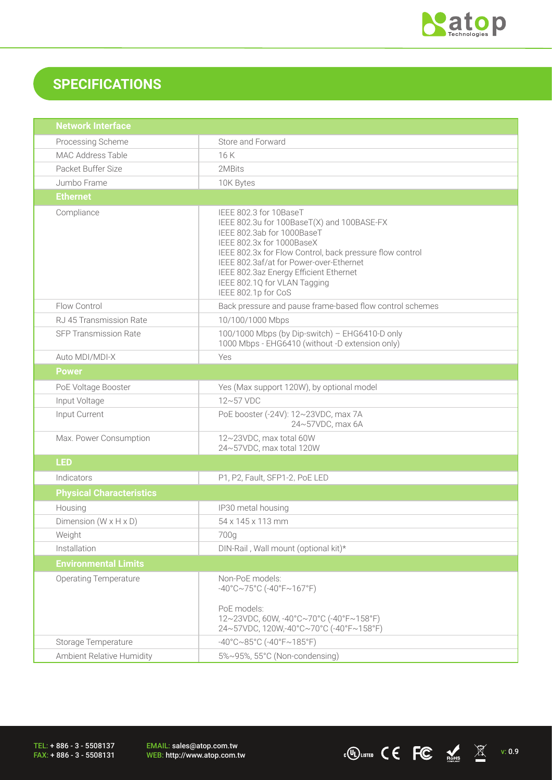

WEB: http://www.atop.com.tw v: 0.9

## **SPECIFICATIONS**

| <b>Network Interface</b>            |                                                                                                                                                                                                                                                                                                                                         |  |  |  |
|-------------------------------------|-----------------------------------------------------------------------------------------------------------------------------------------------------------------------------------------------------------------------------------------------------------------------------------------------------------------------------------------|--|--|--|
| Processing Scheme                   | Store and Forward                                                                                                                                                                                                                                                                                                                       |  |  |  |
| MAC Address Table                   | 16K                                                                                                                                                                                                                                                                                                                                     |  |  |  |
| Packet Buffer Size                  | 2MBits                                                                                                                                                                                                                                                                                                                                  |  |  |  |
| Jumbo Frame                         | 10K Bytes                                                                                                                                                                                                                                                                                                                               |  |  |  |
| <b>Ethernet</b>                     |                                                                                                                                                                                                                                                                                                                                         |  |  |  |
| Compliance                          | IEEE 802.3 for 10BaseT<br>IEEE 802.3u for 100BaseT(X) and 100BASE-FX<br>IEEE 802.3ab for 1000BaseT<br>IEEE 802.3x for 1000BaseX<br>IEEE 802.3x for Flow Control, back pressure flow control<br>IEEE 802.3af/at for Power-over-Ethernet<br>IEEE 802.3az Energy Efficient Ethernet<br>IEEE 802.1Q for VLAN Tagging<br>IEEE 802.1p for CoS |  |  |  |
| Flow Control                        | Back pressure and pause frame-based flow control schemes                                                                                                                                                                                                                                                                                |  |  |  |
| RJ 45 Transmission Rate             | 10/100/1000 Mbps                                                                                                                                                                                                                                                                                                                        |  |  |  |
| <b>SFP Transmission Rate</b>        | 100/1000 Mbps (by Dip-switch) - EHG6410-D only<br>1000 Mbps - EHG6410 (without -D extension only)                                                                                                                                                                                                                                       |  |  |  |
| Auto MDI/MDI-X                      | Yes                                                                                                                                                                                                                                                                                                                                     |  |  |  |
| <b>Power</b>                        |                                                                                                                                                                                                                                                                                                                                         |  |  |  |
| PoE Voltage Booster                 | Yes (Max support 120W), by optional model                                                                                                                                                                                                                                                                                               |  |  |  |
| Input Voltage                       | $12 \sim 57$ VDC                                                                                                                                                                                                                                                                                                                        |  |  |  |
| Input Current                       | PoE booster (-24V): 12~23VDC, max 7A<br>24~57VDC, max 6A                                                                                                                                                                                                                                                                                |  |  |  |
| Max. Power Consumption              | 12~23VDC, max total 60W<br>24~57VDC, max total 120W                                                                                                                                                                                                                                                                                     |  |  |  |
| <b>LED</b>                          |                                                                                                                                                                                                                                                                                                                                         |  |  |  |
| Indicators                          | P1, P2, Fault, SFP1-2, PoE LED                                                                                                                                                                                                                                                                                                          |  |  |  |
| <b>Physical Characteristics</b>     |                                                                                                                                                                                                                                                                                                                                         |  |  |  |
| Housing                             | IP30 metal housing                                                                                                                                                                                                                                                                                                                      |  |  |  |
| Dimension ( $W \times H \times D$ ) | 54 x 145 x 113 mm                                                                                                                                                                                                                                                                                                                       |  |  |  |
| Weight                              | 700g                                                                                                                                                                                                                                                                                                                                    |  |  |  |
| Installation                        | DIN-Rail, Wall mount (optional kit)*                                                                                                                                                                                                                                                                                                    |  |  |  |
| <b>Environmental Limits</b>         |                                                                                                                                                                                                                                                                                                                                         |  |  |  |
| <b>Operating Temperature</b>        | Non-PoE models:<br>$-40^{\circ}$ C~75°C (-40°F~167°F)<br>PoE models:<br>12~23VDC, 60W, -40°C~70°C (-40°F~158°F)<br>24~57VDC, 120W,-40°C~70°C (-40°F~158°F)                                                                                                                                                                              |  |  |  |
| Storage Temperature                 | $-40^{\circ}$ C $\sim$ 85°C (-40°F $\sim$ 185°F)                                                                                                                                                                                                                                                                                        |  |  |  |
| Ambient Relative Humidity           | 5%~95%, 55°C (Non-condensing)                                                                                                                                                                                                                                                                                                           |  |  |  |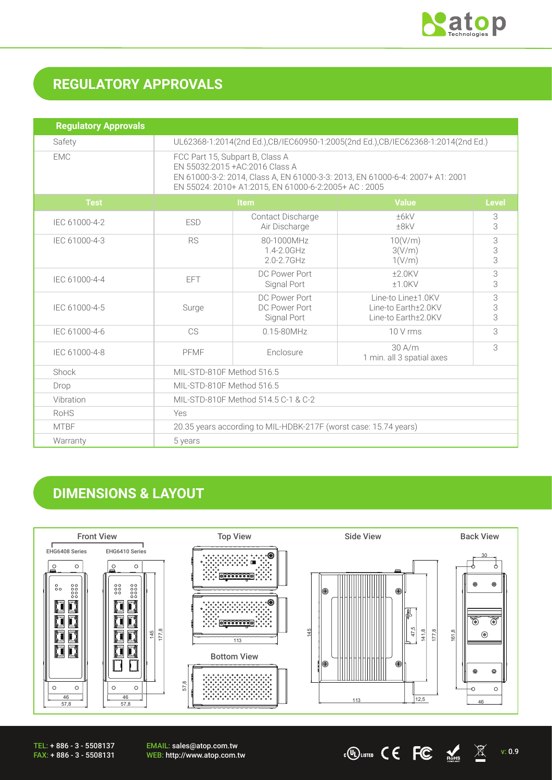

 $\cdot$  (O usted C C C  $\frac{M}{M}$   $\frac{M}{M}$  v: 0.9

# **REGULATORY APPROVALS**

| <b>Regulatory Approvals</b> |                                                                                                                                                                                                              |                                               |                                                                  |              |  |
|-----------------------------|--------------------------------------------------------------------------------------------------------------------------------------------------------------------------------------------------------------|-----------------------------------------------|------------------------------------------------------------------|--------------|--|
| Safety                      | UL62368-1:2014(2nd Ed.),CB/IEC60950-1:2005(2nd Ed.),CB/IEC62368-1:2014(2nd Ed.)                                                                                                                              |                                               |                                                                  |              |  |
| <b>EMC</b>                  | FCC Part 15, Subpart B, Class A<br>EN 55032:2015 + AC: 2016 Class A<br>EN 61000-3-2: 2014, Class A, EN 61000-3-3: 2013, EN 61000-6-4: 2007+ A1: 2001<br>EN 55024: 2010+ A1:2015, EN 61000-6-2:2005+ AC: 2005 |                                               |                                                                  |              |  |
| <b>Test</b>                 | <b>Item</b>                                                                                                                                                                                                  |                                               | <b>Value</b>                                                     | <b>Level</b> |  |
| IEC 61000-4-2               | <b>ESD</b>                                                                                                                                                                                                   | Contact Discharge<br>Air Discharge            | ±6kV<br>±8kV                                                     | 3<br>3       |  |
| IEC 61000-4-3               | <b>RS</b>                                                                                                                                                                                                    | 80-1000MHz<br>$1.4 - 2.0$ GHz<br>2.0-2.7GHz   | 10(V/m)<br>3(V/m)<br>1(V/m)                                      | 3<br>3<br>3  |  |
| IEC 61000-4-4               | <b>EFT</b>                                                                                                                                                                                                   | DC Power Port<br>Signal Port                  | $±2.0$ KV<br>$±1.0$ KV                                           | 3<br>3       |  |
| IEC 61000-4-5               | Surge                                                                                                                                                                                                        | DC Power Port<br>DC Power Port<br>Signal Port | Line-to Line+1.0KV<br>Line-to Earth+2.0KV<br>Line-to Earth+2.0KV | 3<br>3<br>3  |  |
| IEC 61000-4-6               | CS                                                                                                                                                                                                           | $0.15 - 80$ MHz                               | 10 V rms                                                         | 3            |  |
| IEC 61000-4-8               | PFMF                                                                                                                                                                                                         | Enclosure                                     | 30 A/m<br>1 min. all 3 spatial axes                              | 3            |  |
| Shock                       | MIL-STD-810F Method 516.5                                                                                                                                                                                    |                                               |                                                                  |              |  |
| Drop                        | MIL-STD-810F Method 516.5                                                                                                                                                                                    |                                               |                                                                  |              |  |
| Vibration                   | MIL-STD-810F Method 514.5 C-1 & C-2                                                                                                                                                                          |                                               |                                                                  |              |  |
| <b>RoHS</b>                 | Yes                                                                                                                                                                                                          |                                               |                                                                  |              |  |
| <b>MTBF</b>                 | 20.35 years according to MIL-HDBK-217F (worst case: 15.74 years)                                                                                                                                             |                                               |                                                                  |              |  |
| Warranty                    | 5 years                                                                                                                                                                                                      |                                               |                                                                  |              |  |

## **DIMENSIONS & LAYOUT**



TEL: + 886 - 3 - 5508137 FAX: + 886 - 3 - 5508131 EMAIL: sales@atop.com.tw<br>WEB: http://www.atop.com.tw